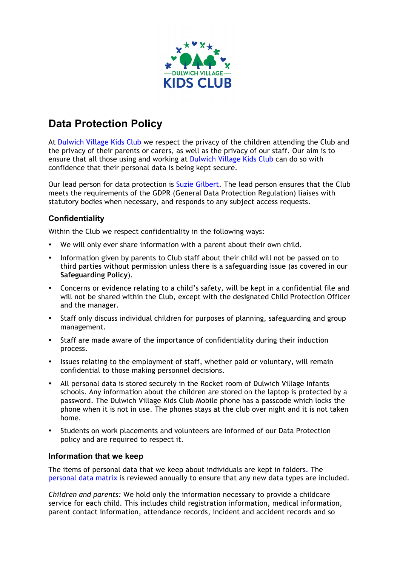

# **Data Protection Policy**

At Dulwich Village Kids Club we respect the privacy of the children attending the Club and the privacy of their parents or carers, as well as the privacy of our staff. Our aim is to ensure that all those using and working at Dulwich Village Kids Club can do so with confidence that their personal data is being kept secure.

Our lead person for data protection is Suzie Gilbert. The lead person ensures that the Club meets the requirements of the GDPR (General Data Protection Regulation) liaises with statutory bodies when necessary, and responds to any subject access requests.

## **Confidentiality**

Within the Club we respect confidentiality in the following ways:

- We will only ever share information with a parent about their own child.
- Information given by parents to Club staff about their child will not be passed on to third parties without permission unless there is a safeguarding issue (as covered in our **Safeguarding Policy**).
- Concerns or evidence relating to a child's safety, will be kept in a confidential file and will not be shared within the Club, except with the designated Child Protection Officer and the manager.
- Staff only discuss individual children for purposes of planning, safeguarding and group management.
- Staff are made aware of the importance of confidentiality during their induction process.
- Issues relating to the employment of staff, whether paid or voluntary, will remain confidential to those making personnel decisions.
- All personal data is stored securely in the Rocket room of Dulwich Village Infants schools. Any information about the children are stored on the laptop is protected by a password. The Dulwich Village Kids Club Mobile phone has a passcode which locks the phone when it is not in use. The phones stays at the club over night and it is not taken home.
- Students on work placements and volunteers are informed of our Data Protection policy and are required to respect it.

## **Information that we keep**

The items of personal data that we keep about individuals are kept in folders. The personal data matrix is reviewed annually to ensure that any new data types are included.

*Children and parents:* We hold only the information necessary to provide a childcare service for each child. This includes child registration information, medical information, parent contact information, attendance records, incident and accident records and so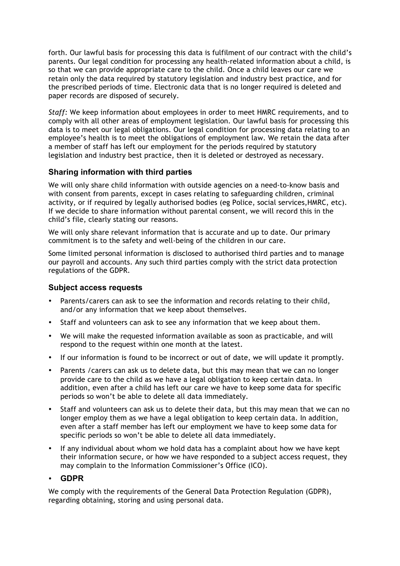forth. Our lawful basis for processing this data is fulfilment of our contract with the child's parents. Our legal condition for processing any health-related information about a child, is so that we can provide appropriate care to the child. Once a child leaves our care we retain only the data required by statutory legislation and industry best practice, and for the prescribed periods of time. Electronic data that is no longer required is deleted and paper records are disposed of securely.

*Staff:* We keep information about employees in order to meet HMRC requirements, and to comply with all other areas of employment legislation. Our lawful basis for processing this data is to meet our legal obligations. Our legal condition for processing data relating to an employee's health is to meet the obligations of employment law. We retain the data after a member of staff has left our employment for the periods required by statutory legislation and industry best practice, then it is deleted or destroyed as necessary.

## **Sharing information with third parties**

We will only share child information with outside agencies on a need-to-know basis and with consent from parents, except in cases relating to safeguarding children, criminal activity, or if required by legally authorised bodies (eg Police, social services,HMRC, etc). If we decide to share information without parental consent, we will record this in the child's file, clearly stating our reasons.

We will only share relevant information that is accurate and up to date. Our primary commitment is to the safety and well-being of the children in our care.

Some limited personal information is disclosed to authorised third parties and to manage our payroll and accounts. Any such third parties comply with the strict data protection regulations of the GDPR.

## **Subject access requests**

- Parents/carers can ask to see the information and records relating to their child, and/or any information that we keep about themselves.
- Staff and volunteers can ask to see any information that we keep about them.
- We will make the requested information available as soon as practicable, and will respond to the request within one month at the latest.
- If our information is found to be incorrect or out of date, we will update it promptly.
- Parents /carers can ask us to delete data, but this may mean that we can no longer provide care to the child as we have a legal obligation to keep certain data. In addition, even after a child has left our care we have to keep some data for specific periods so won't be able to delete all data immediately.
- Staff and volunteers can ask us to delete their data, but this may mean that we can no longer employ them as we have a legal obligation to keep certain data. In addition, even after a staff member has left our employment we have to keep some data for specific periods so won't be able to delete all data immediately.
- If any individual about whom we hold data has a complaint about how we have kept their information secure, or how we have responded to a subject access request, they may complain to the Information Commissioner's Office (ICO).

## • **GDPR**

We comply with the requirements of the General Data Protection Regulation (GDPR), regarding obtaining, storing and using personal data.